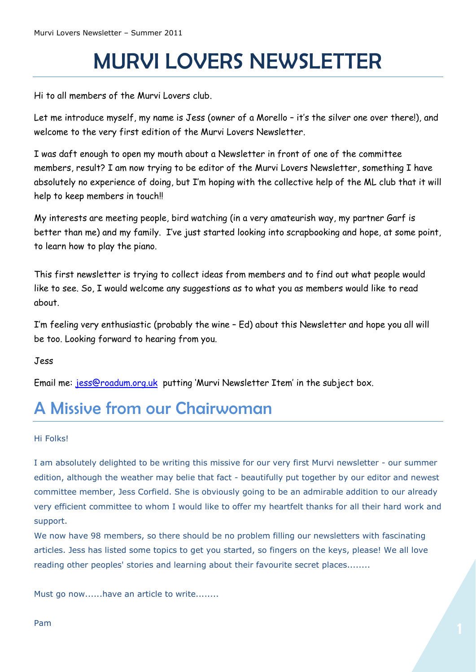## MURVI LOVERS NEWSLETTER

Hi to all members of the Murvi Lovers club.

Let me introduce myself, my name is Jess (owner of a Morello – it's the silver one over there!), and welcome to the very first edition of the Murvi Lovers Newsletter.

I was daft enough to open my mouth about a Newsletter in front of one of the committee members, result? I am now trying to be editor of the Murvi Lovers Newsletter, something I have absolutely no experience of doing, but I'm hoping with the collective help of the ML club that it will help to keep members in touch!!

My interests are meeting people, bird watching (in a very amateurish way, my partner Garf is better than me) and my family. I've just started looking into scrapbooking and hope, at some point, to learn how to play the piano.

This first newsletter is trying to collect ideas from members and to find out what people would like to see. So, I would welcome any suggestions as to what you as members would like to read about.

I'm feeling very enthusiastic (probably the wine – Ed) about this Newsletter and hope you all will be too. Looking forward to hearing from you.

Jess

Email me: [jess@roadum.org.uk](mailto:jess@roadum.org.uk) putting 'Murvi Newsletter Item' in the subject box.

## A Missive from our Chairwoman

#### Hi Folks!

I am absolutely delighted to be writing this missive for our very first Murvi newsletter - our summer edition, although the weather may belie that fact - beautifully put together by our editor and newest committee member, Jess Corfield. She is obviously going to be an admirable addition to our already very efficient committee to whom I would like to offer my heartfelt thanks for all their hard work and support.

We now have 98 members, so there should be no problem filling our newsletters with fascinating articles. Jess has listed some topics to get you started, so fingers on the keys, please! We all love reading other peoples' stories and learning about their favourite secret places........

Must go now......have an article to write........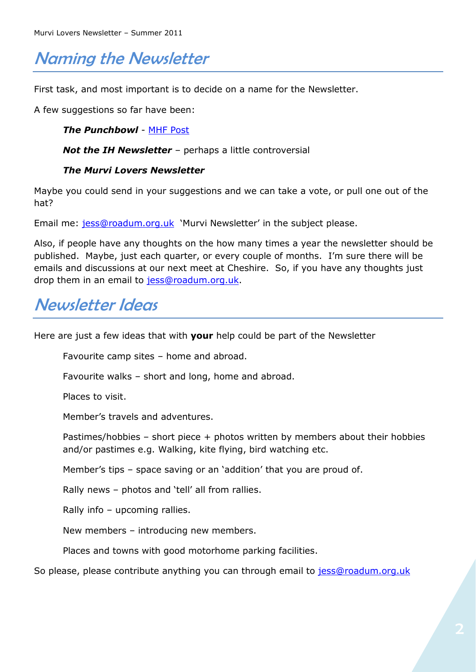## Naming the Newsletter

First task, and most important is to decide on a name for the Newsletter.

A few suggestions so far have been:

*The Punchbowl* - [MHF Post](http://www.motorhomefacts.com/ftopicp-856301.html#856301)

*Not the IH Newsletter* – perhaps a little controversial

#### *The Murvi Lovers Newsletter*

Maybe you could send in your suggestions and we can take a vote, or pull one out of the hat?

Email me: [jess@roadum.org.uk](mailto:jess@roadum.org.uk) 'Murvi Newsletter' in the subject please.

Also, if people have any thoughts on the how many times a year the newsletter should be published. Maybe, just each quarter, or every couple of months. I'm sure there will be emails and discussions at our next meet at Cheshire. So, if you have any thoughts just drop them in an email to [jess@roadum.org.uk.](mailto:jess@roadum.org.uk)

## Newsletter Ideas

Here are just a few ideas that with **your** help could be part of the Newsletter

Favourite camp sites – home and abroad.

Favourite walks – short and long, home and abroad.

Places to visit.

Member's travels and adventures.

Pastimes/hobbies – short piece + photos written by members about their hobbies and/or pastimes e.g. Walking, kite flying, bird watching etc.

Member's tips – space saving or an 'addition' that you are proud of.

Rally news – photos and 'tell' all from rallies.

Rally info – upcoming rallies.

New members – introducing new members.

Places and towns with good motorhome parking facilities.

So please, please contribute anything you can through email to [jess@roadum.org.uk](mailto:jess@roadum.org.uk)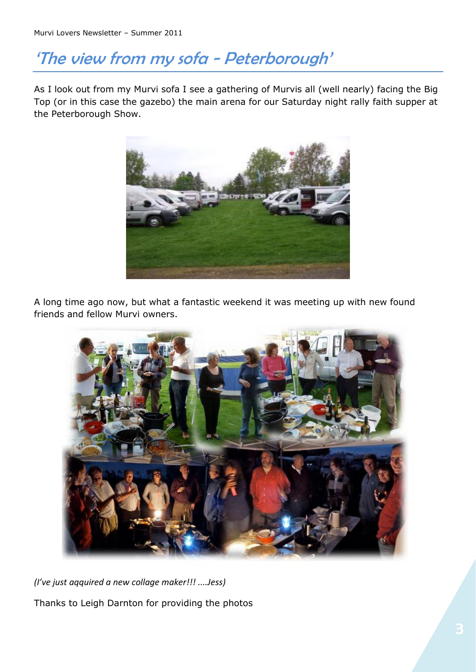## 'The view from my sofa - Peterborough'

As I look out from my Murvi sofa I see a gathering of Murvis all (well nearly) facing the Big Top (or in this case the gazebo) the main arena for our Saturday night rally faith supper at the Peterborough Show.



A long time ago now, but what a fantastic weekend it was meeting up with new found friends and fellow Murvi owners.



*(I've just aqquired a new collage maker!!! ....Jess)* Thanks to Leigh Darnton for providing the photos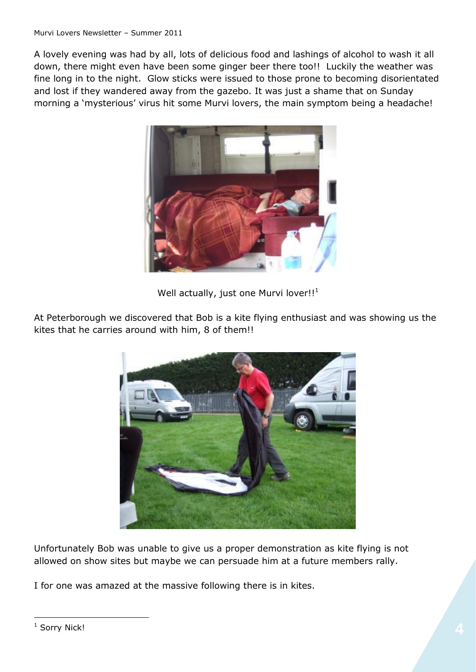A lovely evening was had by all, lots of delicious food and lashings of alcohol to wash it all down, there might even have been some ginger beer there too!! Luckily the weather was fine long in to the night. Glow sticks were issued to those prone to becoming disorientated and lost if they wandered away from the gazebo. It was just a shame that on Sunday morning a 'mysterious' virus hit some Murvi lovers, the main symptom being a headache!



Well actually, just one Murvi lover!! $1$ 

At Peterborough we discovered that Bob is a kite flying enthusiast and was showing us the kites that he carries around with him, 8 of them!!



Unfortunately Bob was unable to give us a proper demonstration as kite flying is not allowed on show sites but maybe we can persuade him at a future members rally.

I for one was amazed at the massive following there is in kites.

 $\overline{a}$ 

<sup>&</sup>lt;sup>1</sup> Sorry Nick!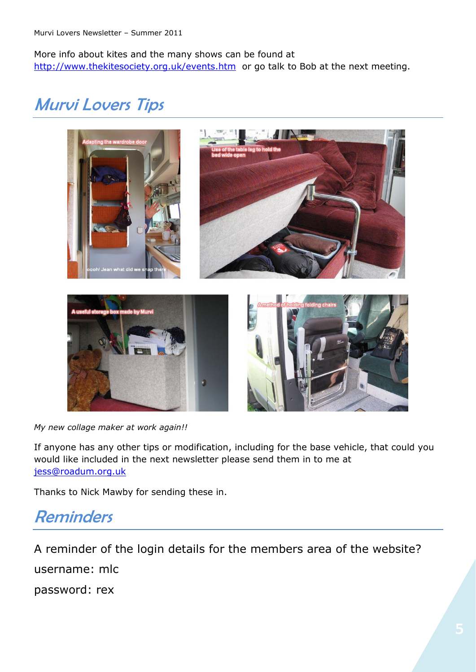More info about kites and the many shows can be found at <http://www.thekitesociety.org.uk/events.htm>or go talk to Bob at the next meeting.

## Murvi Lovers Tips



*My new collage maker at work again!!*

If anyone has any other tips or modification, including for the base vehicle, that could you would like included in the next newsletter please send them in to me at [jess@roadum.org.uk](mailto:jess@roadum.org.uk)

Thanks to Nick Mawby for sending these in.

### Reminders

A reminder of the login details for the members area of the website? username: mlc password: rex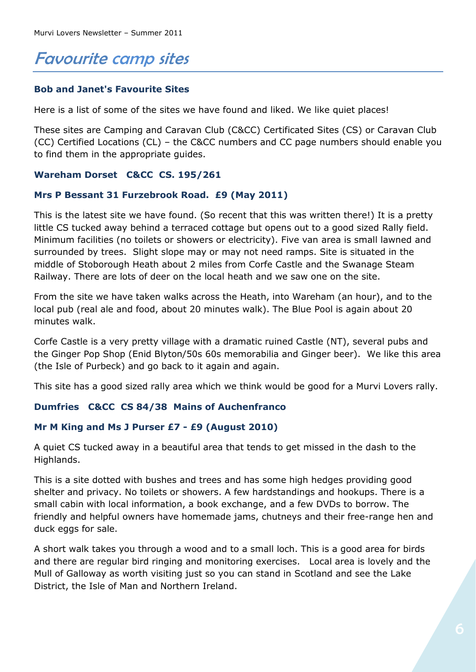## Favourite camp sites

#### **Bob and Janet's Favourite Sites**

Here is a list of some of the sites we have found and liked. We like quiet places!

These sites are Camping and Caravan Club (C&CC) Certificated Sites (CS) or Caravan Club (CC) Certified Locations (CL) – the C&CC numbers and CC page numbers should enable you to find them in the appropriate guides.

#### **Wareham Dorset C&CC CS. 195/261**

#### **Mrs P Bessant 31 Furzebrook Road. £9 (May 2011)**

This is the latest site we have found. (So recent that this was written there!) It is a pretty little CS tucked away behind a terraced cottage but opens out to a good sized Rally field. Minimum facilities (no toilets or showers or electricity). Five van area is small lawned and surrounded by trees. Slight slope may or may not need ramps. Site is situated in the middle of Stoborough Heath about 2 miles from Corfe Castle and the Swanage Steam Railway. There are lots of deer on the local heath and we saw one on the site.

From the site we have taken walks across the Heath, into Wareham (an hour), and to the local pub (real ale and food, about 20 minutes walk). The Blue Pool is again about 20 minutes walk.

Corfe Castle is a very pretty village with a dramatic ruined Castle (NT), several pubs and the Ginger Pop Shop (Enid Blyton/50s 60s memorabilia and Ginger beer). We like this area (the Isle of Purbeck) and go back to it again and again.

This site has a good sized rally area which we think would be good for a Murvi Lovers rally.

#### **Dumfries C&CC CS 84/38 Mains of Auchenfranco**

#### **Mr M King and Ms J Purser £7 - £9 (August 2010)**

A quiet CS tucked away in a beautiful area that tends to get missed in the dash to the Highlands.

This is a site dotted with bushes and trees and has some high hedges providing good shelter and privacy. No toilets or showers. A few hardstandings and hookups. There is a small cabin with local information, a book exchange, and a few DVDs to borrow. The friendly and helpful owners have homemade jams, chutneys and their free-range hen and duck eggs for sale.

A short walk takes you through a wood and to a small loch. This is a good area for birds and there are regular bird ringing and monitoring exercises. Local area is lovely and the Mull of Galloway as worth visiting just so you can stand in Scotland and see the Lake District, the Isle of Man and Northern Ireland.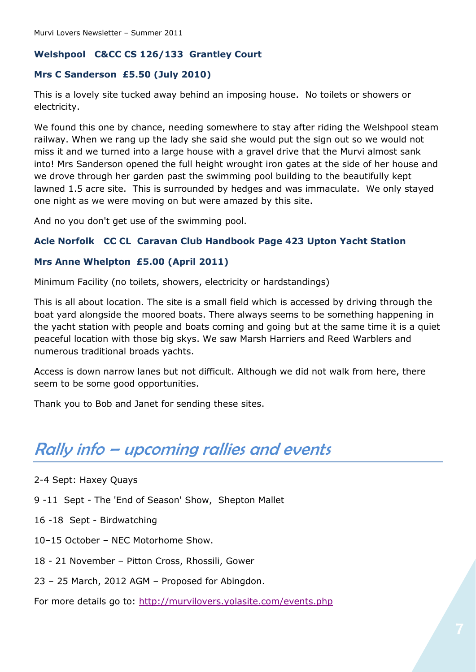#### **Welshpool C&CC CS 126/133 Grantley Court**

#### **Mrs C Sanderson £5.50 (July 2010)**

This is a lovely site tucked away behind an imposing house. No toilets or showers or electricity.

We found this one by chance, needing somewhere to stay after riding the Welshpool steam railway. When we rang up the lady she said she would put the sign out so we would not miss it and we turned into a large house with a gravel drive that the Murvi almost sank into! Mrs Sanderson opened the full height wrought iron gates at the side of her house and we drove through her garden past the swimming pool building to the beautifully kept lawned 1.5 acre site. This is surrounded by hedges and was immaculate. We only stayed one night as we were moving on but were amazed by this site.

And no you don't get use of the swimming pool.

#### **Acle Norfolk CC CL Caravan Club Handbook Page 423 Upton Yacht Station**

#### **Mrs Anne Whelpton £5.00 (April 2011)**

Minimum Facility (no toilets, showers, electricity or hardstandings)

This is all about location. The site is a small field which is accessed by driving through the boat yard alongside the moored boats. There always seems to be something happening in the yacht station with people and boats coming and going but at the same time it is a quiet peaceful location with those big skys. We saw Marsh Harriers and Reed Warblers and numerous traditional broads yachts.

Access is down narrow lanes but not difficult. Although we did not walk from here, there seem to be some good opportunities.

Thank you to Bob and Janet for sending these sites.

## Rally info – upcoming rallies and events

- 2-4 Sept: Haxey Quays
- 9 -11 Sept The 'End of Season' Show, Shepton Mallet
- 16 -18 Sept Birdwatching
- 10–15 October NEC Motorhome Show.
- 18 21 November Pitton Cross, Rhossili, Gower
- 23 25 March, 2012 AGM Proposed for Abingdon.

For more details go to:<http://murvilovers.yolasite.com/events.php>